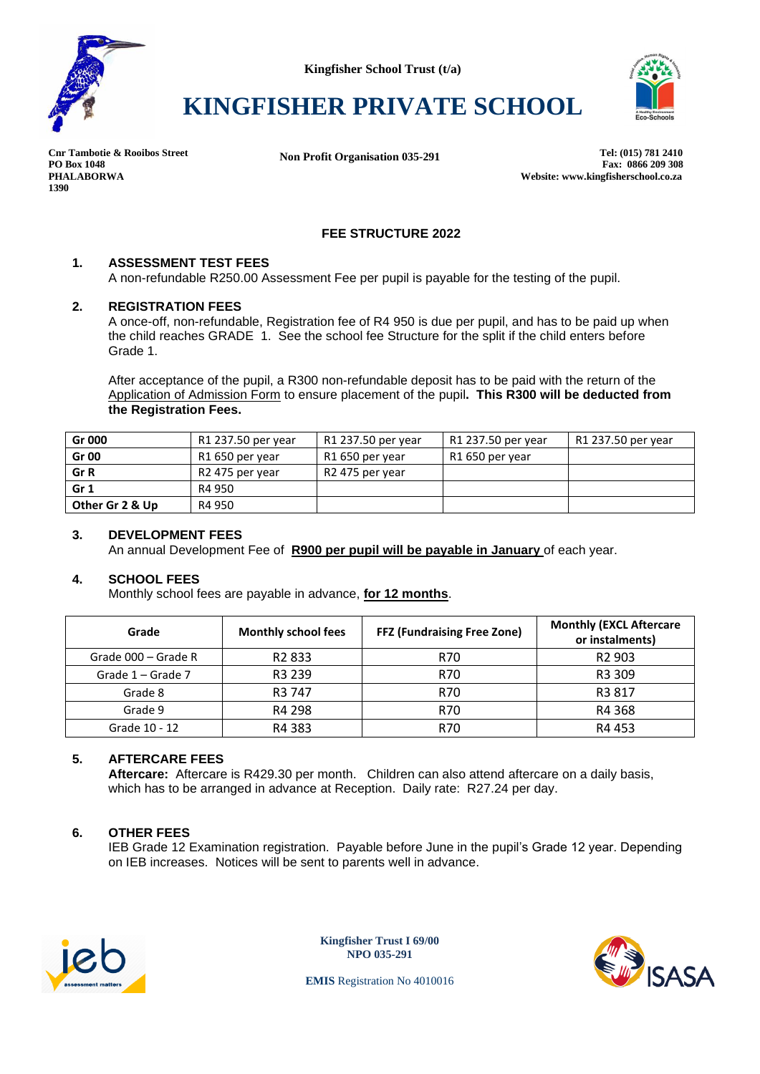



# **KINGFISHER PRIVATE SCHOOL**

**1390**

**Cnr Tambotie & Rooibos Street Tel: (015) 781 2410 Non Profit Organisation 035-291**PO Box 1048<br>Fax: 0866 209 308<br>Website: www.kingfisherschool.co.za **PHALABORWA Website: www.kingfisherschool.co.za**

## **FEE STRUCTURE 2022**

#### **1. ASSESSMENT TEST FEES**

A non-refundable R250.00 Assessment Fee per pupil is payable for the testing of the pupil.

#### **2. REGISTRATION FEES**

A once-off, non-refundable, Registration fee of R4 950 is due per pupil, and has to be paid up when the child reaches GRADE 1. See the school fee Structure for the split if the child enters before Grade 1.

After acceptance of the pupil, a R300 non-refundable deposit has to be paid with the return of the Application of Admission Form to ensure placement of the pupil**. This R300 will be deducted from the Registration Fees.**

| Gr 000          | R1 237.50 per year | R1 237.50 per year | R1 237.50 per year | R1 237.50 per year |
|-----------------|--------------------|--------------------|--------------------|--------------------|
| <b>Gr 00</b>    | R1 650 per year    | R1 650 per year    | R1 650 per year    |                    |
| Gr R            | R2 475 per year    | R2 475 per year    |                    |                    |
| Gr <sub>1</sub> | R4 950             |                    |                    |                    |
| Other Gr 2 & Up | R4 950             |                    |                    |                    |

#### **3. DEVELOPMENT FEES**

An annual Development Fee of **R900 per pupil will be payable in January** of each year.

## **4. SCHOOL FEES**

Monthly school fees are payable in advance, **for 12 months**.

| Grade               | <b>Monthly school fees</b> | <b>FFZ (Fundraising Free Zone)</b> | <b>Monthly (EXCL Aftercare</b><br>or instalments) |
|---------------------|----------------------------|------------------------------------|---------------------------------------------------|
| Grade 000 - Grade R | R <sub>2</sub> 833         | R70                                | R <sub>2</sub> 903                                |
| Grade 1 – Grade 7   | R3 239                     | R70                                | R3 309                                            |
| Grade 8             | R <sub>3</sub> 747         | R70                                | R <sub>3</sub> 817                                |
| Grade 9             | R4 298                     | R70                                | R4 368                                            |
| Grade 10 - 12       | R4 383                     | R70                                | R4453                                             |

## **5. AFTERCARE FEES**

**Aftercare:** Aftercare is R429.30 per month. Children can also attend aftercare on a daily basis, which has to be arranged in advance at Reception. Daily rate: R27.24 per day.

## **6. OTHER FEES**

IEB Grade 12 Examination registration. Payable before June in the pupil's Grade 12 year. Depending on IEB increases. Notices will be sent to parents well in advance.



**Kingfisher Trust I 69/00 NPO 035-291**